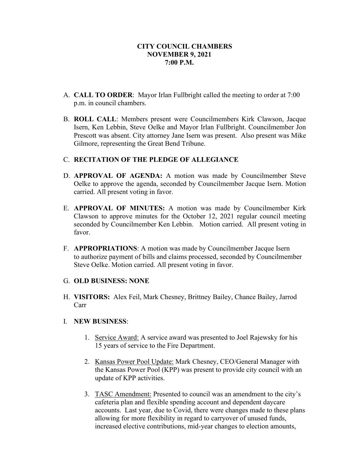- A. **CALL TO ORDER**: Mayor Irlan Fullbright called the meeting to order at 7:00 p.m. in council chambers.
- B. **ROLL CALL**: Members present were Councilmembers Kirk Clawson, Jacque Isern, Ken Lebbin, Steve Oelke and Mayor Irlan Fullbright. Councilmember Jon Prescott was absent. City attorney Jane Isern was present. Also present was Mike Gilmore, representing the Great Bend Tribune.

# C. **RECITATION OF THE PLEDGE OF ALLEGIANCE**

- D. **APPROVAL OF AGENDA:** A motion was made by Councilmember Steve Oelke to approve the agenda, seconded by Councilmember Jacque Isern. Motion carried. All present voting in favor.
- E. **APPROVAL OF MINUTES:** A motion was made by Councilmember Kirk Clawson to approve minutes for the October 12, 2021 regular council meeting seconded by Councilmember Ken Lebbin. Motion carried. All present voting in favor.
- F. **APPROPRIATIONS**: A motion was made by Councilmember Jacque Isern to authorize payment of bills and claims processed, seconded by Councilmember Steve Oelke. Motion carried. All present voting in favor.

## G. **OLD BUSINESS: NONE**

H. **VISITORS:** Alex Feil, Mark Chesney, Brittney Bailey, Chance Bailey, Jarrod Carr

## I. **NEW BUSINESS**:

- 1. Service Award: A service award was presented to Joel Rajewsky for his 15 years of service to the Fire Department.
- 2. Kansas Power Pool Update: Mark Chesney, CEO/General Manager with the Kansas Power Pool (KPP) was present to provide city council with an update of KPP activities.
- 3. TASC Amendment: Presented to council was an amendment to the city's cafeteria plan and flexible spending account and dependent daycare accounts. Last year, due to Covid, there were changes made to these plans allowing for more flexibility in regard to carryover of unused funds, increased elective contributions, mid-year changes to election amounts,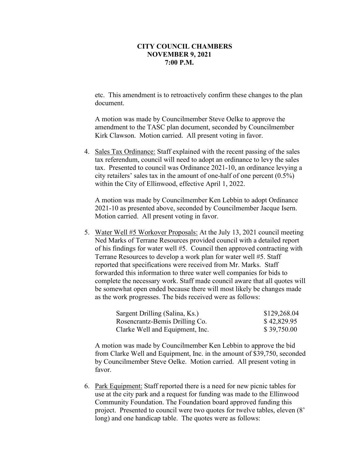etc. This amendment is to retroactively confirm these changes to the plan document.

A motion was made by Councilmember Steve Oelke to approve the amendment to the TASC plan document, seconded by Councilmember Kirk Clawson. Motion carried. All present voting in favor.

4. Sales Tax Ordinance: Staff explained with the recent passing of the sales tax referendum, council will need to adopt an ordinance to levy the sales tax. Presented to council was Ordinance 2021-10, an ordinance levying a city retailers' sales tax in the amount of one-half of one percent (0.5%) within the City of Ellinwood, effective April 1, 2022.

A motion was made by Councilmember Ken Lebbin to adopt Ordinance 2021-10 as presented above, seconded by Councilmember Jacque Isern. Motion carried. All present voting in favor.

5. Water Well #5 Workover Proposals: At the July 13, 2021 council meeting Ned Marks of Terrane Resources provided council with a detailed report of his findings for water well #5. Council then approved contracting with Terrane Resources to develop a work plan for water well #5. Staff reported that specifications were received from Mr. Marks. Staff forwarded this information to three water well companies for bids to complete the necessary work. Staff made council aware that all quotes will be somewhat open ended because there will most likely be changes made as the work progresses. The bids received were as follows:

| Sargent Drilling (Salina, Ks.)  | \$129,268.04 |
|---------------------------------|--------------|
| Rosencrantz-Bemis Drilling Co.  | \$42,829.95  |
| Clarke Well and Equipment, Inc. | \$39,750.00  |

A motion was made by Councilmember Ken Lebbin to approve the bid from Clarke Well and Equipment, Inc. in the amount of \$39,750, seconded by Councilmember Steve Oelke. Motion carried. All present voting in favor.

6. Park Equipment: Staff reported there is a need for new picnic tables for use at the city park and a request for funding was made to the Ellinwood Community Foundation. The Foundation board approved funding this project. Presented to council were two quotes for twelve tables, eleven (8' long) and one handicap table. The quotes were as follows: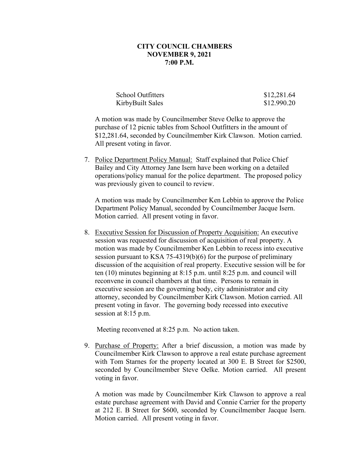| School Outfitters | \$12,281.64 |
|-------------------|-------------|
| KirbyBuilt Sales  | \$12.990.20 |

A motion was made by Councilmember Steve Oelke to approve the purchase of 12 picnic tables from School Outfitters in the amount of \$12,281.64, seconded by Councilmember Kirk Clawson. Motion carried. All present voting in favor.

7. Police Department Policy Manual: Staff explained that Police Chief Bailey and City Attorney Jane Isern have been working on a detailed operations/policy manual for the police department. The proposed policy was previously given to council to review.

A motion was made by Councilmember Ken Lebbin to approve the Police Department Policy Manual, seconded by Councilmember Jacque Isern. Motion carried. All present voting in favor.

8. Executive Session for Discussion of Property Acquisition: An executive session was requested for discussion of acquisition of real property. A motion was made by Councilmember Ken Lebbin to recess into executive session pursuant to KSA 75-4319(b)(6) for the purpose of preliminary discussion of the acquisition of real property. Executive session will be for ten (10) minutes beginning at 8:15 p.m. until 8:25 p.m. and council will reconvene in council chambers at that time. Persons to remain in executive session are the governing body, city administrator and city attorney, seconded by Councilmember Kirk Clawson. Motion carried. All present voting in favor. The governing body recessed into executive session at 8:15 p.m.

Meeting reconvened at 8:25 p.m. No action taken.

9. Purchase of Property: After a brief discussion, a motion was made by Councilmember Kirk Clawson to approve a real estate purchase agreement with Tom Starnes for the property located at 300 E. B Street for \$2500, seconded by Councilmember Steve Oelke. Motion carried. All present voting in favor.

A motion was made by Councilmember Kirk Clawson to approve a real estate purchase agreement with David and Connie Carrier for the property at 212 E. B Street for \$600, seconded by Councilmember Jacque Isern. Motion carried. All present voting in favor.